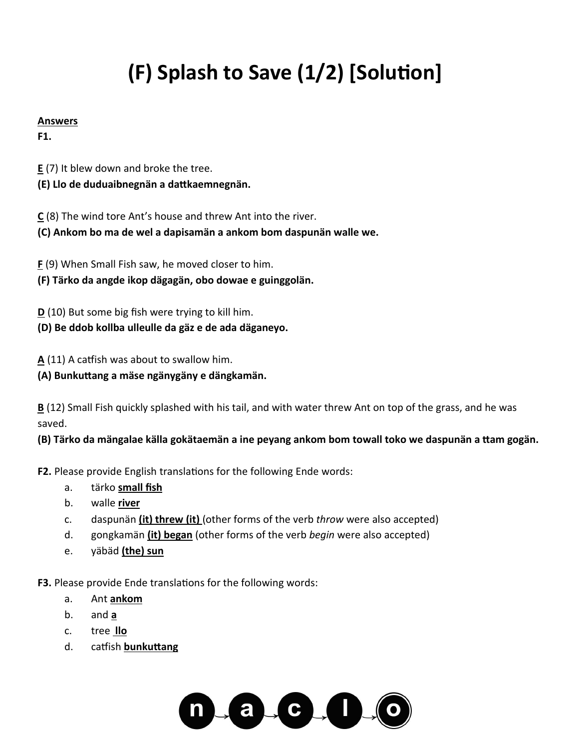# **(F) Splash to Save (1/2) [Solution]**

### **Answers**

**F1.**

**E** (7) It blew down and broke the tree.

**(E) Llo de duduaibnegnän a dattkaemnegnän.** 

**C** (8) The wind tore Ant's house and threw Ant into the river.

**(C) Ankom bo ma de wel a dapisamän a ankom bom daspunän walle we.** 

**F** (9) When Small Fish saw, he moved closer to him.

**(F) Tärko da angde ikop dägagän, obo dowae e guinggolän.** 

**D** (10) But some big fish were trying to kill him.

**(D) Be ddob kollba ulleulle da gäz e de ada däganeyo.** 

**A** (11) A catfish was about to swallow him.

**(A) Bunkuttang a mäse ngänygäny e dängkamän.**

**B** (12) Small Fish quickly splashed with his tail, and with water threw Ant on top of the grass, and he was saved.

**(B) Tärko da mängalae källa gokätaemän a ine peyang ankom bom towall toko we daspunän a ttam gogän.**

**F2.** Please provide English translations for the following Ende words:

- a. tärko **small fish**
- b. walle **river**
- c. daspunän **(it) threw (it)** (other forms of the verb *throw* were also accepted)
- d. gongkamän **(it) began** (other forms of the verb *begin* were also accepted)
- e. yäbäd **(the) sun**

**F3.** Please provide Ende translations for the following words:

- a. Ant **ankom**
- b. and **a**
- c. tree **llo**
- d. catfish **bunkuttang**